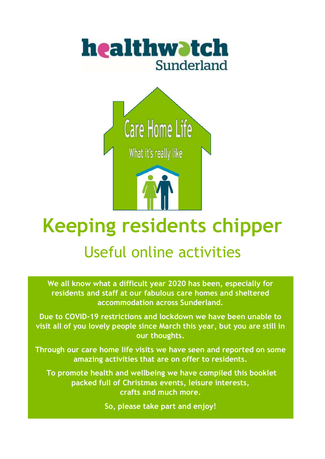



# **Keeping residents chipper**

# Useful online activities

**We all know what a difficult year 2020 has been, especially for residents and staff at our fabulous care homes and sheltered accommodation across Sunderland.**

**Due to COVID-19 restrictions and lockdown we have been unable to visit all of you lovely people since March this year, but you are still in our thoughts.**

**Through our care home life visits we have seen and reported on some amazing activities that are on offer to residents.**

**To promote health and wellbeing we have compiled this booklet packed full of Christmas events, leisure interests, crafts and much more.**

**So, please take part and enjoy!**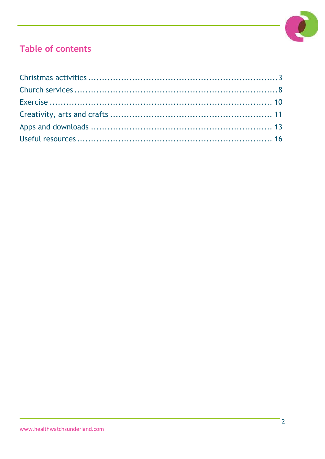

# Table of contents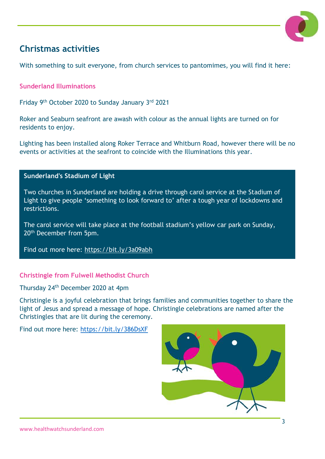

# <span id="page-2-0"></span>**Christmas activities**

With something to suit everyone, from church services to pantomimes, you will find it here:

**Sunderland Illuminations**

Friday 9<sup>th</sup> October 2020 to Sunday January 3rd 2021

Roker and Seaburn seafront are awash with colour as the annual lights are turned on for residents to enjoy.

Lighting has been installed along Roker Terrace and Whitburn Road, however there will be no events or activities at the seafront to coincide with the Illuminations this year.

#### **Sunderland's Stadium of Light**

Two churches in Sunderland are holding a drive through carol service at the Stadium of Light to give people 'something to look forward to' after a tough year of lockdowns and restrictions.

The carol service will take place at the football stadium's yellow car park on Sunday, 20th December from 5pm.

Find out more here:<https://bit.ly/3a09abh>

#### **Christingle from Fulwell Methodist Church**

Thursday 24th December 2020 at 4pm

Christingle is a joyful celebration that brings families and communities together to share the light of Jesus and spread a message of hope. Christingle celebrations are named after the Christingles that are lit during the ceremony.

Find out more here:<https://bit.ly/386DsXF>

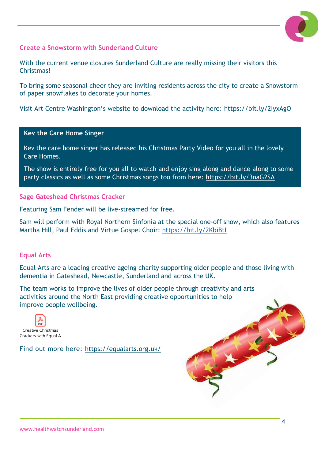

#### **Create a Snowstorm with Sunderland Culture**

With the current venue closures Sunderland Culture are really missing their visitors this **Christmas!** 

To bring some seasonal cheer they are inviting residents across the city to create a Snowstorm of paper snowflakes to decorate your homes.

Visit Art Centre Washington's website to download the activity here: <https://bit.ly/2IyxAgO>

#### **Kev the Care Home Singer**

Kev the care home singer has released his Christmas Party Video for you all in the lovely Care Homes.

The show is entirely free for you all to watch and enjoy sing along and dance along to some party classics as well as some Christmas songs too from here:<https://bit.ly/3naG2SA>

#### **Sage Gateshead Christmas Cracker**

Featuring Sam Fender will be live-streamed for free.

Sam will perform with Royal Northern Sinfonia at the special one-off show, which also features Martha Hill, Paul Eddis and Virtue Gospel Choir:<https://bit.ly/2KbiBtI>

#### **Equal Arts**

Equal Arts are a leading creative ageing charity supporting older people and those living with dementia in Gateshead, Newcastle, Sunderland and across the UK.

The team works to improve the lives of older people through creativity and arts activities around the North East providing creative opportunities to help improve people wellbeing.



Find out more here: [https://equalarts.org.uk/](https://gbr01.safelinks.protection.outlook.com/?url=https%3A%2F%2Fequalarts.org.uk%2F&data=04%7C01%7Caudrey.thompson%40pcp.uk.net%7Cfcf0973568ed413749ee08d8976cb66e%7Cab08069964414f408f2de1e5936aba10%7C0%7C0%7C637425840457377710%7CUnknown%7CTWFpbGZsb3d8eyJWIjoiMC4wLjAwMDAiLCJQIjoiV2luMzIiLCJBTiI6Ik1haWwiLCJXVCI6Mn0%3D%7C1000&sdata=jeoRk5IqlkTsN4Hm0vIrr%2FM%2FUV3PWSLr%2Fg8UJevwHGE%3D&reserved=0)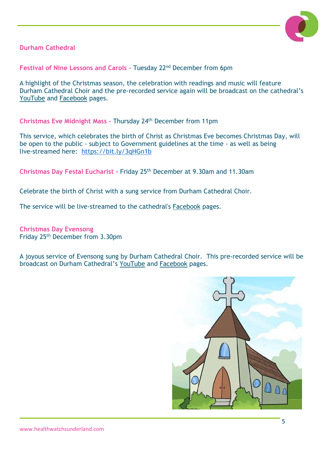

**Durham Cathedral** 

**Festival of Nine Lessons and Carols –** Tuesday 22nd December from 6pm

A highlight of the Christmas season, the celebration with readings and music will feature Durham Cathedral Choir and the pre-recorded service again will be broadcast on the cathedral's [YouTube](https://www.youtube.com/user/durhamcathedral1093) and [Facebook](https://www.facebook.com/durhamcathedral/) pages.

**Christmas Eve Midnight Mass –** Thursday 24th December from 11pm

This service, which celebrates the birth of Christ as Christmas Eve becomes Christmas Day, will be open to the public - subject to Government guidelines at the time - as well as being live-streamed here: <https://bit.ly/3qHGn1b>

**Christmas Day Festal Eucharist -** Friday 25th December at 9.30am and 11.30am

Celebrate the birth of Christ with a sung service from Durham Cathedral Choir.

The service will be live-streamed to the cathedral's [Facebook](https://www.facebook.com/durhamcathedral/) pages.

**Christmas Day Evensong** Friday 25th December from 3.30pm

A joyous service of Evensong sung by Durham Cathedral Choir. This pre-recorded service will be broadcast on Durham Cathedral's [YouTube](https://www.youtube.com/user/durhamcathedral1093) and [Facebook](https://www.facebook.com/durhamcathedral/) pages.

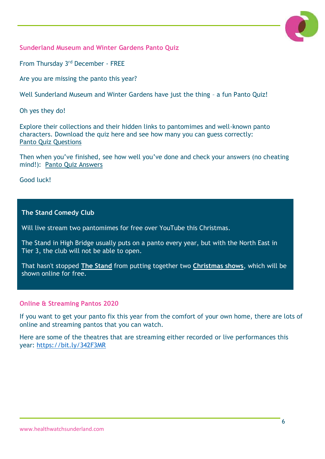

**Sunderland Museum and Winter Gardens Panto Quiz**

From Thursday 3<sup>rd</sup> December - FREE

Are you are missing the panto this year?

Well Sunderland Museum and Winter Gardens have just the thing – a fun Panto Quiz!

Oh yes they do!

Explore their collections and their hidden links to pantomimes and well-known panto characters. Download the quiz here and see how many you can guess correctly: [Panto Quiz Questions](https://sunderlandculture.org.uk/wp-content/uploads/2020/11/Panto-Quiz-Questions.pdf)

Then when you've finished, see how well you've done and check your answers (no cheating mind!): [Panto Quiz Answers](https://sunderlandculture.org.uk/wp-content/uploads/2020/11/Panto-Quiz-Answers.pdf)

Good luck!

**The Stand Comedy Club**

Will live stream two pantomimes for free over YouTube this Christmas.

The Stand in High Bridge usually puts on a panto every year, but with the North East in Tier 3, the club will not be able to open.

That hasn't stopped **[The Stand](https://www.chroniclelive.co.uk/all-about/the-stand-newcastle)** from putting together two **[Christmas shows](https://www.chroniclelive.co.uk/all-about/christmas-pantos)**, which will be shown online for free.

#### **Online & Streaming Pantos 2020**

If you want to get your panto fix this year from the comfort of your own home, there are lots of online and streaming pantos that you can watch.

Here are some of the theatres that are streaming either recorded or live performances this year:<https://bit.ly/342F3MR>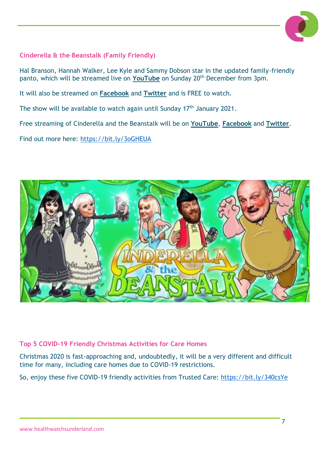

#### **Cinderella & the Beanstalk (Family Friendly)**

Hal Branson, Hannah Walker, Lee Kyle and Sammy Dobson star in the updated family-friendly panto, which will be streamed live on [YouTube](https://www.youtube.com/watch?v=mBj_tzgpFZM) on Sunday 20<sup>th</sup> December from 3pm.

It will also be streamed on **[Facebook](https://www.facebook.com/StandNewcastle)** and **[Twitter](https://twitter.com/standcomedyclub?lang=en)** and is FREE to watch.

The show will be available to watch again until Sunday 17th January 2021.

Free streaming of Cinderella and the Beanstalk will be on **[YouTube](https://www.youtube.com/channel/UCnD2fU4NfR2QvrEPh1SonWA)**, **[Facebook](https://www.facebook.com/StandNewcastle)** and **[Twitter](https://twitter.com/standcomedyclub?lang=en)**.

Find out more here:<https://bit.ly/3oGHEUA>



#### **Top 5 COVID-19 Friendly Christmas Activities for Care Homes**

Christmas 2020 is fast-approaching and, undoubtedly, it will be a very different and difficult time for many, including care homes due to COVID-19 restrictions.

So, enjoy these five COVID-19 friendly activities from Trusted Care:<https://bit.ly/340csYe>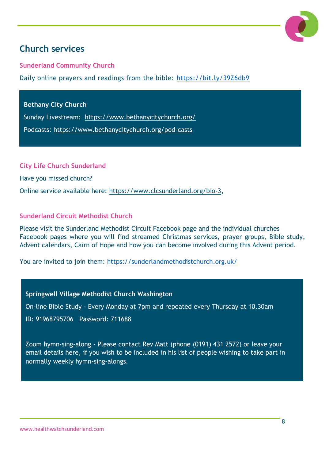

# <span id="page-7-0"></span>**Church services**

**Sunderland Community Church** 

Daily online prayers and readings from the bible:<https://bit.ly/39Z6db9>

**Bethany City Church** 

Sunday Livestream: <https://www.bethanycitychurch.org/>

Podcasts:<https://www.bethanycitychurch.org/pod-casts>

**City Life Church Sunderland**

Have you missed church?

Online service available here: [https://www.clcsunderland.org/bio-3,](https://www.clcsunderland.org/bio-3)

#### **Sunderland Circuit Methodist Church**

Please visit the Sunderland Methodist Circuit Facebook page and the individual churches Facebook pages where you will find streamed Christmas services, prayer groups, Bible study, Advent calendars, Cairn of Hope and how you can become involved during this Advent period.

You are invited to join them: <https://sunderlandmethodistchurch.org.uk/>

**Springwell Village Methodist Church Washington**

On-line Bible Study - Every Monday at 7pm and repeated every Thursday at 10.30am

ID: 91968795706 Password: 711688

Zoom hymn-sing-along - Please contact Rev Matt (phone (0191) 431 2572) or leave your email details here, if you wish to be included in his list of people wishing to take part in normally weekly hymn-sing-alongs.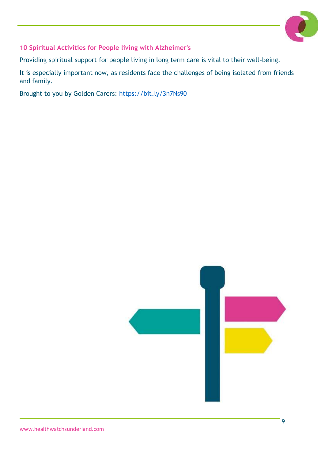

**10 Spiritual Activities for People living with Alzheimer's**

Providing spiritual support for people living in long term care is vital to their well-being.

It is especially important now, as residents face the challenges of being isolated from friends and family.

Brought to you by Golden Carers:<https://bit.ly/3n7Ns90>

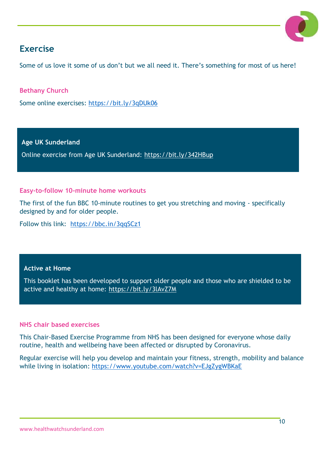

# <span id="page-9-0"></span>**Exercise**

Some of us love it some of us don't but we all need it. There's something for most of us here!

**Bethany Church**

Some online exercises:<https://bit.ly/3qDUk06>

**Age UK Sunderland**

Online exercise from Age UK Sunderland:<https://bit.ly/342HBup>

#### **Easy-to-follow 10-minute home workouts**

The first of the fun BBC 10-minute routines to get you stretching and moving - specifically designed by and for older people.

Follow this link: <https://bbc.in/3qqSCz1>

#### **Active at Home**

This booklet has been developed to support older people and those who are shielded to be active and healthy at home:<https://bit.ly/3lAvZ7M>

#### **NHS chair based exercises**

This Chair-Based Exercise Programme from NHS has been designed for everyone whose daily routine, health and wellbeing have been affected or disrupted by Coronavirus.

Regular exercise will help you develop and maintain your fitness, strength, mobility and balance while living in isolation: <https://www.youtube.com/watch?v=EJgZygWBKaE>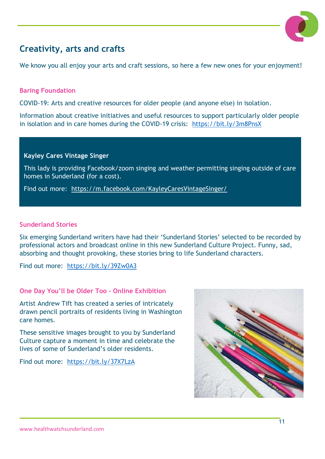

# <span id="page-10-0"></span>**Creativity, arts and crafts**

We know you all enjoy your arts and craft sessions, so here a few new ones for your enjoyment!

#### **Baring Foundation**

COVID-19: Arts and creative resources for older people (and anyone else) in isolation.

Information about creative initiatives and useful resources to support particularly older people in isolation and in care homes during the COVID-19 crisis: <https://bit.ly/3m8PnsX>

#### **Kayley Cares Vintage Singer**

This lady is providing Facebook/zoom singing and weather permitting singing outside of care homes in Sunderland (for a cost).

Find out more: <https://m.facebook.com/KayleyCaresVintageSinger/>

#### **Sunderland Stories**

Six emerging Sunderland writers have had their 'Sunderland Stories' selected to be recorded by professional actors and broadcast online in this new Sunderland Culture Project. Funny, sad, absorbing and thought provoking, these stories bring to life Sunderland characters.

Find out more: <https://bit.ly/39Zw0A3>

#### **One Day You'll be Older Too – Online Exhibition**

Artist Andrew Tift has created a series of intricately drawn pencil portraits of residents living in Washington care homes.

These sensitive images brought to you by Sunderland Culture capture a moment in time and celebrate the lives of some of Sunderland's older residents.

Find out more: <https://bit.ly/37X7LzA>

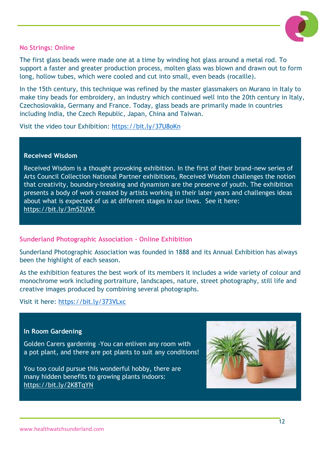

#### **No Strings: Online**

The first glass beads were made one at a time by winding hot glass around a metal rod. To support a faster and greater production process, molten glass was blown and drawn out to form long, hollow tubes, which were cooled and cut into small, even beads (rocaille).

In the 15th century, this technique was refined by the master glassmakers on Murano in Italy to make tiny beads for embroidery, an industry which continued well into the 20th century in Italy, Czechoslovakia, Germany and France. Today, glass beads are primarily made in countries including India, the Czech Republic, Japan, China and Taiwan.

Visit the video tour Exhibition:<https://bit.ly/37U8oKn>

#### **Received Wisdom**

Received Wisdom is a thought provoking exhibition. In the first of their brand-new series of Arts Council Collection National Partner exhibitions, Received Wisdom challenges the notion that creativity, boundary-breaking and dynamism are the preserve of youth. The exhibition presents a body of work created by artists working in their later years and challenges ideas about what is expected of us at different stages in our lives. See it here: <https://bit.ly/3m5ZUVK>

#### **Sunderland Photographic Association - Online Exhibition**

Sunderland Photographic Association was founded in 1888 and its Annual Exhibition has always been the highlight of each season.

As the exhibition features the best work of its members it includes a wide variety of colour and monochrome work including portraiture, landscapes, nature, street photography, still life and creative images produced by combining several photographs.

Visit it here:<https://bit.ly/373VLxc>

#### **In Room Gardening**

Golden Carers gardening -You can enliven any room with a pot plant, and there are pot plants to suit any conditions!

You too could pursue this wonderful hobby, there are many hidden benefits to growing plants indoors: <https://bit.ly/2K8TqYN>

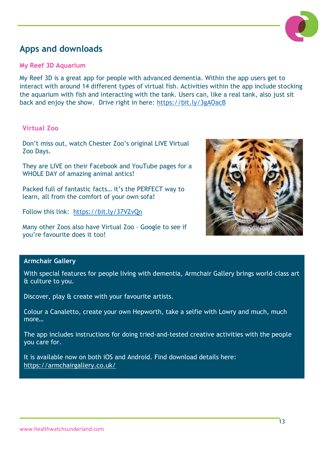

# <span id="page-12-0"></span>**Apps and downloads**

#### **My Reef 3D Aquarium**

My Reef 3D is a great app for people with advanced dementia. Within the app users get to interact with around 14 different types of virtual fish. Activities within the app include stocking the aquarium with fish and interacting with the tank. Users can, like a real tank, also just sit back and enjoy the show. Drive right in here:<https://bit.ly/3gAOacB>

#### **Virtual Zoo**

Don't miss out, watch Chester Zoo's original LIVE Virtual Zoo Days.

They are LIVE on their Facebook and YouTube pages for a WHOLE DAY of amazing animal antics!

Packed full of fantastic facts… it's the PERFECT way to learn, all from the comfort of your own sofa!

Follow this link: <https://bit.ly/37VZvQn>

Many other Zoos also have Virtual Zoo – Google to see if you're favourite does it too!



#### **Armchair Gallery**

With special features for people living with dementia, Armchair Gallery brings world-class art & culture to you.

Discover, play & create with your favourite artists.

Colour a Canaletto, create your own Hepworth, take a selfie with Lowry and much, much more…

The app includes instructions for doing tried-and-tested creative activities with the people you care for.

It is available now on both iOS and Android. Find download details here: <https://armchairgallery.co.uk/>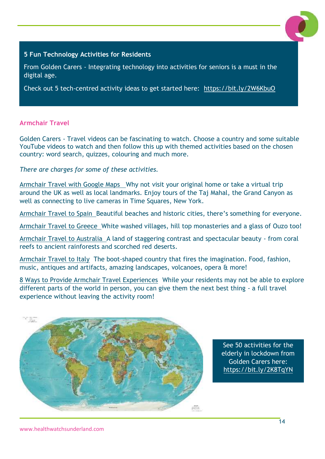

#### **5 Fun Technology Activities for Residents**

From Golden Carers - Integrating technology into activities for seniors is a must in the digital age.

Check out 5 tech-centred activity ideas to get started here: <https://bit.ly/2W6KbuO>

#### **Armchair Travel**

Golden Carers - Travel videos can be fascinating to watch. Choose a country and some suitable YouTube videos to watch and then follow this up with themed activities based on the chosen country: word search, quizzes, colouring and much more.

*There are charges for some of these activities.*

[Armchair Travel with Google Maps](https://www.goldencarers.com/armchair-travel-with-google-maps/3810/) Why not visit your original home or take a virtual trip around the UK as well as local landmarks. Enjoy tours of the Taj Mahal, the Grand Canyon as well as connecting to live cameras in Time Squares, New York.

[Armchair Travel to Spain](https://www.goldencarers.com/armchair-travel-to-spain/6227/) Beautiful beaches and historic cities, there's something for everyone.

[Armchair Travel to Greece](https://www.goldencarers.com/armchair-travel-to-greece/6178/) White washed villages, hill top monasteries and a glass of Ouzo too!

[Armchair Travel to Australia](https://www.goldencarers.com/armchair-travel-to-australia/6127/) A land of staggering contrast and spectacular beauty - from coral reefs to ancient rainforests and scorched red deserts.

[Armchair Travel to Italy](https://www.goldencarers.com/armchair-travel-to-italy/6076/) The boot-shaped country that fires the imagination. Food, fashion, music, antiques and artifacts, amazing landscapes, volcanoes, opera & more!

[8 Ways to Provide Armchair Travel Experiences](https://www.goldencarers.com/8-ways-to-provide-armchair-travel-experiences/5843/) While your residents may not be able to explore different parts of the world in person, you can give them the next best thing - a full travel experience without leaving the activity room!



See 50 activities for the elderly in lockdown from Golden Carers here: <https://bit.ly/2K8TqYN>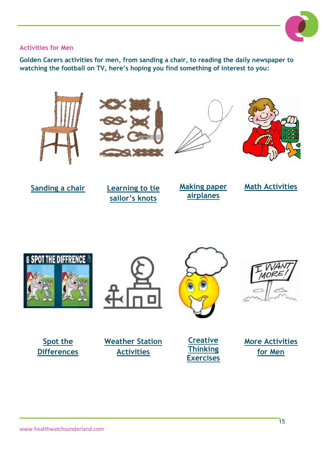

#### **Activities for Men**

**Golden Carers activities for men, from sanding a chair, to reading the daily newspaper to watching the football on TV, here's hoping you find something of interest to you:**









**[Sanding a chair](https://www.youtube.com/watch?v=7YJ2Up0ugO0) [Learning to tie](https://www.youtube.com/watch?v=hrampH94LY8)  [sailor's knots](https://www.youtube.com/watch?v=hrampH94LY8)**

**[Making paper](https://www.goldencarers.com/paper-planes-reminiscing-game/3618/)  [airplanes](https://www.goldencarers.com/paper-planes-reminiscing-game/3618/)**







**[Spot the](https://www.goldencarers.com/spot-the-difference/)  [Differences](https://www.goldencarers.com/spot-the-difference/)**







**[Creative](https://www.goldencarers.com/creative-thinking-exercises/4693/)  [Thinking](https://www.goldencarers.com/creative-thinking-exercises/4693/)  [Exercises](https://www.goldencarers.com/creative-thinking-exercises/4693/)**

**[More Activities](https://www.goldencarers.com/for-men/)  [for Men](https://www.goldencarers.com/for-men/)**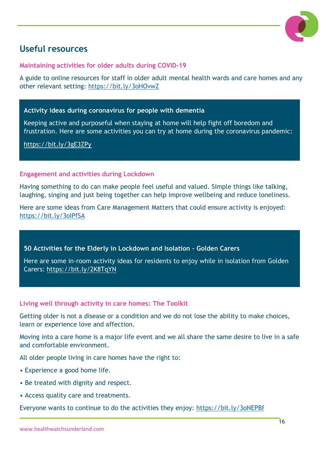

# <span id="page-15-0"></span>**Useful resources**

**Maintaining activities for older adults during COVID-19** 

A guide to online resources for staff in older adult mental health wards and care homes and any other relevant setting:<https://bit.ly/3oHOvwZ>

#### **Activity ideas during coronavirus for people with dementia**

Keeping active and purposeful when staying at home will help fight off boredom and frustration. Here are some activities you can try at home during the coronavirus pandemic:

<https://bit.ly/3gE3ZPy>

#### **Engagement and activities during Lockdown**

Having something to do can make people feel useful and valued. Simple things like talking, laughing, singing and just being together can help improve wellbeing and reduce loneliness.

Here are some ideas from Care Management Matters that could ensure activity is enjoyed: <https://bit.ly/3oIPfSA>

**50 Activities for the Elderly in Lockdown and Isolation – Golden Carers**

Here are some in-room activity ideas for residents to enjoy while in isolation from Golden Carers:<https://bit.ly/2K8TqYN>

#### **Living well through activity in care homes: The Toolkit**

Getting older is not a disease or a condition and we do not lose the ability to make choices, learn or experience love and affection.

Moving into a care home is a major life event and we all share the same desire to live in a safe and comfortable environment.

All older people living in care homes have the right to:

- Experience a good home life.
- Be treated with dignity and respect.
- Access quality care and treatments.

Everyone wants to continue to do the activities they enjoy:<https://bit.ly/3oNEPBf>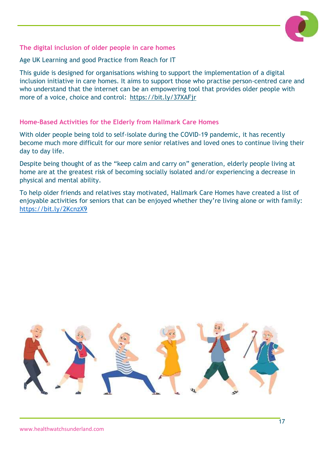

#### **The digital inclusion of older people in care homes**

Age UK Learning and good Practice from Reach for IT

This guide is designed for organisations wishing to support the implementation of a digital inclusion initiative in care homes. It aims to support those who practise person-centred care and who understand that the internet can be an empowering tool that provides older people with more of a voice, choice and control: <https://bit.ly/37XAFjr>

#### **Home-Based Activities for the Elderly from Hallmark Care Homes**

With older people being told to self-isolate during the COVID-19 pandemic, it has recently become much more difficult for our more senior relatives and loved ones to continue living their day to day life.

Despite being thought of as the "keep calm and carry on" generation, elderly people living at home are at the greatest risk of becoming socially isolated and/or experiencing a decrease in physical and mental ability.

To help older friends and relatives stay motivated, Hallmark Care Homes have created a list of enjoyable activities for seniors that can be enjoyed whether they're living alone or with family: <https://bit.ly/2KcnzX9>